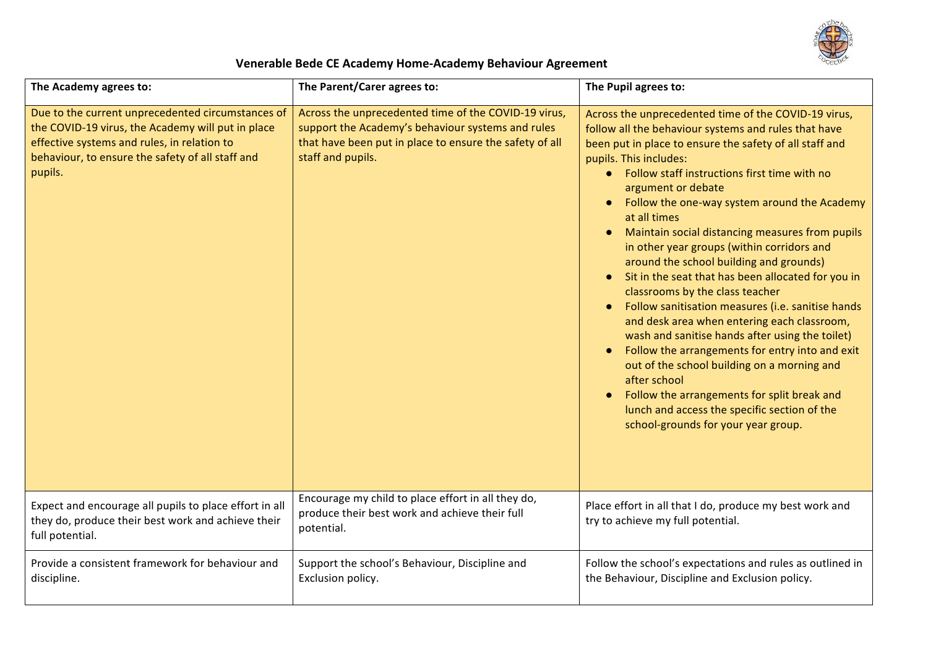

## **Venerable Bede CE Academy Home-Academy Behaviour Agreement**

| The Academy agrees to:                                                                                                                                                                                               | The Parent/Carer agrees to:                                                                                                                                                               | The Pupil agrees to:                                                                                                                                                                                                                                                                                                                                                                                                                                                                                                                                                                                                                                                                                                                                                                                                                                                                                                                                                                          |
|----------------------------------------------------------------------------------------------------------------------------------------------------------------------------------------------------------------------|-------------------------------------------------------------------------------------------------------------------------------------------------------------------------------------------|-----------------------------------------------------------------------------------------------------------------------------------------------------------------------------------------------------------------------------------------------------------------------------------------------------------------------------------------------------------------------------------------------------------------------------------------------------------------------------------------------------------------------------------------------------------------------------------------------------------------------------------------------------------------------------------------------------------------------------------------------------------------------------------------------------------------------------------------------------------------------------------------------------------------------------------------------------------------------------------------------|
| Due to the current unprecedented circumstances of<br>the COVID-19 virus, the Academy will put in place<br>effective systems and rules, in relation to<br>behaviour, to ensure the safety of all staff and<br>pupils. | Across the unprecedented time of the COVID-19 virus,<br>support the Academy's behaviour systems and rules<br>that have been put in place to ensure the safety of all<br>staff and pupils. | Across the unprecedented time of the COVID-19 virus,<br>follow all the behaviour systems and rules that have<br>been put in place to ensure the safety of all staff and<br>pupils. This includes:<br>• Follow staff instructions first time with no<br>argument or debate<br>Follow the one-way system around the Academy<br>at all times<br>Maintain social distancing measures from pupils<br>in other year groups (within corridors and<br>around the school building and grounds)<br>Sit in the seat that has been allocated for you in<br>classrooms by the class teacher<br>Follow sanitisation measures (i.e. sanitise hands<br>and desk area when entering each classroom,<br>wash and sanitise hands after using the toilet)<br>Follow the arrangements for entry into and exit<br>out of the school building on a morning and<br>after school<br>Follow the arrangements for split break and<br>lunch and access the specific section of the<br>school-grounds for your year group. |
| Expect and encourage all pupils to place effort in all<br>they do, produce their best work and achieve their<br>full potential.                                                                                      | Encourage my child to place effort in all they do,<br>produce their best work and achieve their full<br>potential.                                                                        | Place effort in all that I do, produce my best work and<br>try to achieve my full potential.                                                                                                                                                                                                                                                                                                                                                                                                                                                                                                                                                                                                                                                                                                                                                                                                                                                                                                  |
| Provide a consistent framework for behaviour and<br>discipline.                                                                                                                                                      | Support the school's Behaviour, Discipline and<br>Exclusion policy.                                                                                                                       | Follow the school's expectations and rules as outlined in<br>the Behaviour, Discipline and Exclusion policy.                                                                                                                                                                                                                                                                                                                                                                                                                                                                                                                                                                                                                                                                                                                                                                                                                                                                                  |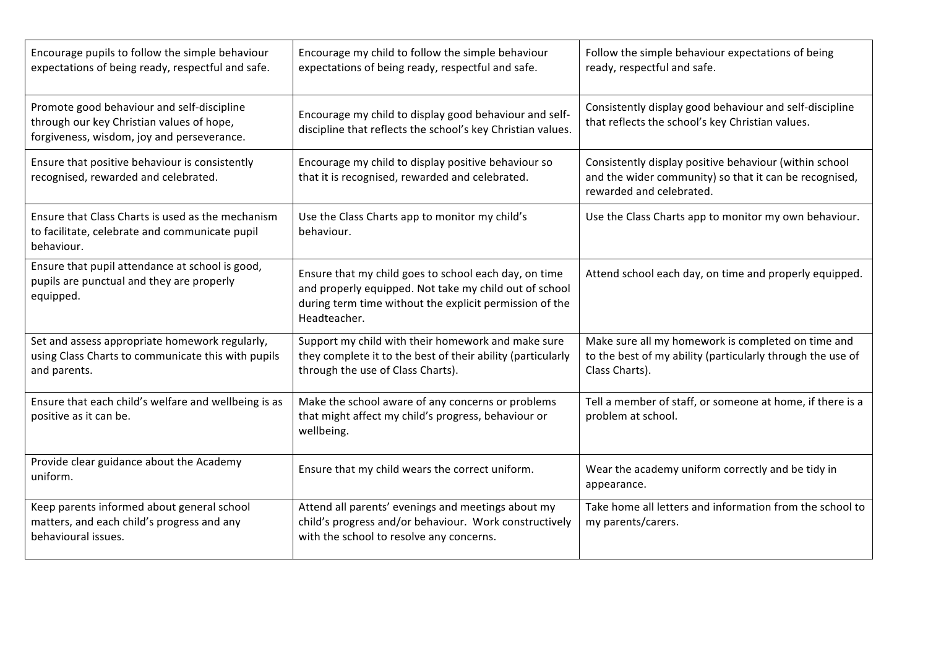| Encourage pupils to follow the simple behaviour<br>expectations of being ready, respectful and safe.                                  | Encourage my child to follow the simple behaviour<br>expectations of being ready, respectful and safe.                                                                                     | Follow the simple behaviour expectations of being<br>ready, respectful and safe.                                                             |
|---------------------------------------------------------------------------------------------------------------------------------------|--------------------------------------------------------------------------------------------------------------------------------------------------------------------------------------------|----------------------------------------------------------------------------------------------------------------------------------------------|
| Promote good behaviour and self-discipline<br>through our key Christian values of hope,<br>forgiveness, wisdom, joy and perseverance. | Encourage my child to display good behaviour and self-<br>discipline that reflects the school's key Christian values.                                                                      | Consistently display good behaviour and self-discipline<br>that reflects the school's key Christian values.                                  |
| Ensure that positive behaviour is consistently<br>recognised, rewarded and celebrated.                                                | Encourage my child to display positive behaviour so<br>that it is recognised, rewarded and celebrated.                                                                                     | Consistently display positive behaviour (within school<br>and the wider community) so that it can be recognised,<br>rewarded and celebrated. |
| Ensure that Class Charts is used as the mechanism<br>to facilitate, celebrate and communicate pupil<br>behaviour.                     | Use the Class Charts app to monitor my child's<br>behaviour.                                                                                                                               | Use the Class Charts app to monitor my own behaviour.                                                                                        |
| Ensure that pupil attendance at school is good,<br>pupils are punctual and they are properly<br>equipped.                             | Ensure that my child goes to school each day, on time<br>and properly equipped. Not take my child out of school<br>during term time without the explicit permission of the<br>Headteacher. | Attend school each day, on time and properly equipped.                                                                                       |
| Set and assess appropriate homework regularly,<br>using Class Charts to communicate this with pupils<br>and parents.                  | Support my child with their homework and make sure<br>they complete it to the best of their ability (particularly<br>through the use of Class Charts).                                     | Make sure all my homework is completed on time and<br>to the best of my ability (particularly through the use of<br>Class Charts).           |
| Ensure that each child's welfare and wellbeing is as<br>positive as it can be.                                                        | Make the school aware of any concerns or problems<br>that might affect my child's progress, behaviour or<br>wellbeing.                                                                     | Tell a member of staff, or someone at home, if there is a<br>problem at school.                                                              |
| Provide clear guidance about the Academy<br>uniform.                                                                                  | Ensure that my child wears the correct uniform.                                                                                                                                            | Wear the academy uniform correctly and be tidy in<br>appearance.                                                                             |
| Keep parents informed about general school<br>matters, and each child's progress and any<br>behavioural issues.                       | Attend all parents' evenings and meetings about my<br>child's progress and/or behaviour. Work constructively<br>with the school to resolve any concerns.                                   | Take home all letters and information from the school to<br>my parents/carers.                                                               |